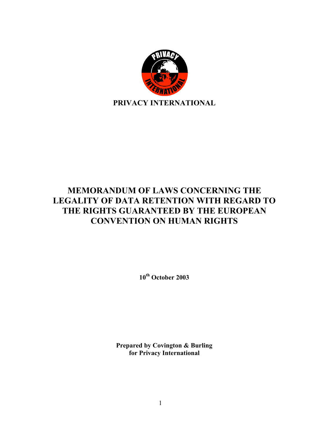

# **MEMORANDUM OF LAWS CONCERNING THE LEGALITY OF DATA RETENTION WITH REGARD TO THE RIGHTS GUARANTEED BY THE EUROPEAN CONVENTION ON HUMAN RIGHTS**

**10th October 2003**

**Prepared by Covington & Burling for Privacy International**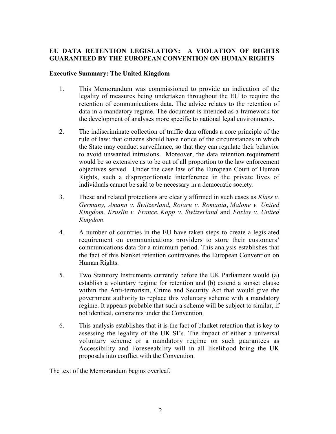# **EU DATA RETENTION LEGISLATION: A VIOLATION OF RIGHTS GUARANTEED BY THE EUROPEAN CONVENTION ON HUMAN RIGHTS**

# **Executive Summary: The United Kingdom**

- 1. This Memorandum was commissioned to provide an indication of the legality of measures being undertaken throughout the EU to require the retention of communications data. The advice relates to the retention of data in a mandatory regime. The document is intended as a framework for the development of analyses more specific to national legal environments.
- 2. The indiscriminate collection of traffic data offends a core principle of the rule of law: that citizens should have notice of the circumstances in which the State may conduct surveillance, so that they can regulate their behavior to avoid unwanted intrusions. Moreover, the data retention requirement would be so extensive as to be out of all proportion to the law enforcement objectives served. Under the case law of the European Court of Human Rights, such a disproportionate interference in the private lives of individuals cannot be said to be necessary in a democratic society.
- 3. These and related protections are clearly affirmed in such cases as *Klass v. Germany, Amann v. Switzerland, Rotaru v. Romania*, *Malone v. United Kingdom, Kruslin v. France*, *Kopp v. Switzerland* and *Foxley v. United Kingdom*.
- 4. A number of countries in the EU have taken steps to create a legislated requirement on communications providers to store their customers' communications data for a minimum period. This analysis establishes that the fact of this blanket retention contravenes the European Convention on Human Rights.
- 5. Two Statutory Instruments currently before the UK Parliament would (a) establish a voluntary regime for retention and (b) extend a sunset clause within the Anti-terrorism, Crime and Security Act that would give the government authority to replace this voluntary scheme with a mandatory regime. It appears probable that such a scheme will be subject to similar, if not identical, constraints under the Convention.
- 6. This analysis establishes that it is the fact of blanket retention that is key to assessing the legality of the UK SI's. The impact of either a universal voluntary scheme or a mandatory regime on such guarantees as Accessibility and Foreseeability will in all likelihood bring the UK proposals into conflict with the Convention.

The text of the Memorandum begins overleaf.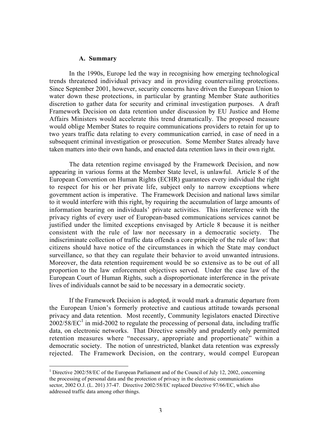#### **A. Summary**

In the 1990s, Europe led the way in recognising how emerging technological trends threatened individual privacy and in providing countervailing protections. Since September 2001, however, security concerns have driven the European Union to water down these protections, in particular by granting Member State authorities discretion to gather data for security and criminal investigation purposes. A draft Framework Decision on data retention under discussion by EU Justice and Home Affairs Ministers would accelerate this trend dramatically. The proposed measure would oblige Member States to require communications providers to retain for up to two years traffic data relating to every communication carried, in case of need in a subsequent criminal investigation or prosecution. Some Member States already have taken matters into their own hands, and enacted data retention laws in their own right.

The data retention regime envisaged by the Framework Decision, and now appearing in various forms at the Member State level, is unlawful. Article 8 of the European Convention on Human Rights (ECHR) guarantees every individual the right to respect for his or her private life, subject only to narrow exceptions where government action is imperative. The Framework Decision and national laws similar to it would interfere with this right, by requiring the accumulation of large amounts of information bearing on individuals' private activities. This interference with the privacy rights of every user of European-based communications services cannot be justified under the limited exceptions envisaged by Article 8 because it is neither consistent with the rule of law nor necessary in a democratic society. The indiscriminate collection of traffic data offends a core principle of the rule of law: that citizens should have notice of the circumstances in which the State may conduct surveillance, so that they can regulate their behavior to avoid unwanted intrusions. Moreover, the data retention requirement would be so extensive as to be out of all proportion to the law enforcement objectives served. Under the case law of the European Court of Human Rights, such a disproportionate interference in the private lives of individuals cannot be said to be necessary in a democratic society.

If the Framework Decision is adopted, it would mark a dramatic departure from the European Union's formerly protective and cautious attitude towards personal privacy and data retention. Most recently, Community legislators enacted Directive  $2002/58/EC^1$  in mid-2002 to regulate the processing of personal data, including traffic data, on electronic networks. That Directive sensibly and prudently only permitted retention measures where "necessary, appropriate and proportionate" within a democratic society. The notion of unrestricted, blanket data retention was expressly rejected. The Framework Decision, on the contrary, would compel European

 $\frac{1}{1}$ <sup>1</sup> Directive 2002/58/EC of the European Parliament and of the Council of July 12, 2002, concerning the processing of personal data and the protection of privacy in the electronic communications sector, 2002 O.J. (L. 201) 37-47. Directive 2002/58/EC replaced Directive 97/66/EC, which also addressed traffic data among other things.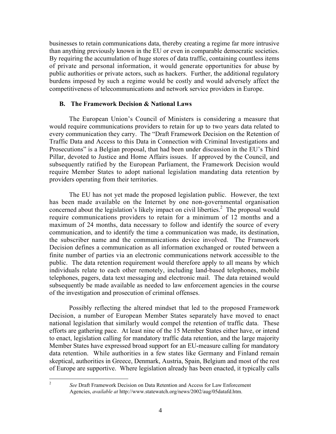businesses to retain communications data, thereby creating a regime far more intrusive than anything previously known in the EU or even in comparable democratic societies. By requiring the accumulation of huge stores of data traffic, containing countless items of private and personal information, it would generate opportunities for abuse by public authorities or private actors, such as hackers. Further, the additional regulatory burdens imposed by such a regime would be costly and would adversely affect the competitiveness of telecommunications and network service providers in Europe.

#### **B. The Framework Decision & National Laws**

The European Union's Council of Ministers is considering a measure that would require communications providers to retain for up to two years data related to every communication they carry. The "Draft Framework Decision on the Retention of Traffic Data and Access to this Data in Connection with Criminal Investigations and Prosecutions" is a Belgian proposal, that had been under discussion in the EU's Third Pillar, devoted to Justice and Home Affairs issues. If approved by the Council, and subsequently ratified by the European Parliament, the Framework Decision would require Member States to adopt national legislation mandating data retention by providers operating from their territories.

The EU has not yet made the proposed legislation public. However, the text has been made available on the Internet by one non-governmental organisation concerned about the legislation's likely impact on civil liberties. $^2$  The proposal would require communications providers to retain for a minimum of 12 months and a maximum of 24 months, data necessary to follow and identify the source of every communication, and to identify the time a communication was made, its destination, the subscriber name and the communications device involved. The Framework Decision defines a communication as all information exchanged or routed between a finite number of parties via an electronic communications network accessible to the public. The data retention requirement would therefore apply to all means by which individuals relate to each other remotely, including land-based telephones, mobile telephones, pagers, data text messaging and electronic mail. The data retained would subsequently be made available as needed to law enforcement agencies in the course of the investigation and prosecution of criminal offenses.

Possibly reflecting the altered mindset that led to the proposed Framework Decision, a number of European Member States separately have moved to enact national legislation that similarly would compel the retention of traffic data. These efforts are gathering pace. At least nine of the 15 Member States either have, or intend to enact, legislation calling for mandatory traffic data retention, and the large majority Member States have expressed broad support for an EU-measure calling for mandatory data retention. While authorities in a few states like Germany and Finland remain skeptical, authorities in Greece, Denmark, Austria, Spain, Belgium and most of the rest of Europe are supportive. Where legislation already has been enacted, it typically calls

 <sup>2</sup> *See* Draft Framework Decision on Data Retention and Access for Law Enforcement Agencies, *available at* http://www.statewatch.org/news/2002/aug/05datafd.htm.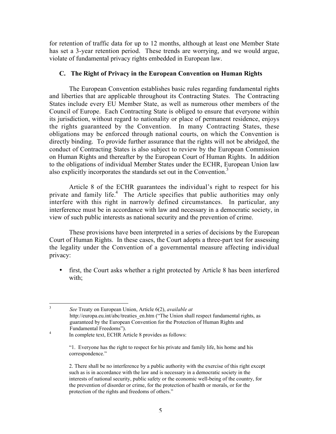for retention of traffic data for up to 12 months, although at least one Member State has set a 3-year retention period. These trends are worrying, and we would argue, violate of fundamental privacy rights embedded in European law.

### **C. The Right of Privacy in the European Convention on Human Rights**

The European Convention establishes basic rules regarding fundamental rights and liberties that are applicable throughout its Contracting States. The Contracting States include every EU Member State, as well as numerous other members of the Council of Europe. Each Contracting State is obliged to ensure that everyone within its jurisdiction, without regard to nationality or place of permanent residence, enjoys the rights guaranteed by the Convention. In many Contracting States, these obligations may be enforced through national courts, on which the Convention is directly binding. To provide further assurance that the rights will not be abridged, the conduct of Contracting States is also subject to review by the European Commission on Human Rights and thereafter by the European Court of Human Rights. In addition to the obligations of individual Member States under the ECHR, European Union law also explicitly incorporates the standards set out in the Convention. $3$ 

Article 8 of the ECHR guarantees the individual's right to respect for his private and family life.<sup>4</sup> The Article specifies that public authorities may only interfere with this right in narrowly defined circumstances. In particular, any interference must be in accordance with law and necessary in a democratic society, in view of such public interests as national security and the prevention of crime.

These provisions have been interpreted in a series of decisions by the European Court of Human Rights. In these cases, the Court adopts a three-part test for assessing the legality under the Convention of a governmental measure affecting individual privacy:

first, the Court asks whether a right protected by Article 8 has been interfered with;

 3 *See* Treaty on European Union, Article 6(2), *available at* http://europa.eu.int/abc/treaties\_en.htm ("The Union shall respect fundamental rights, as guaranteed by the European Convention for the Protection of Human Rights and Fundamental Freedoms").<br><sup>4</sup> In complete text, ECHR Article 8 provides as follows:

<sup>&</sup>quot;1. Everyone has the right to respect for his private and family life, his home and his correspondence."

<sup>2.</sup> There shall be no interference by a public authority with the exercise of this right except such as is in accordance with the law and is necessary in a democratic society in the interests of national security, public safety or the economic well-being of the country, for the prevention of disorder or crime, for the protection of health or morals, or for the protection of the rights and freedoms of others."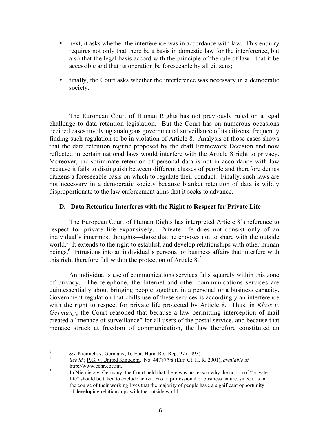next, it asks whether the interference was in accordance with law. This enquiry requires not only that there be a basis in domestic law for the interference, but also that the legal basis accord with the principle of the rule of law - that it be accessible and that its operation be foreseeable by all citizens;

finally, the Court asks whether the interference was necessary in a democratic society.

The European Court of Human Rights has not previously ruled on a legal challenge to data retention legislation. But the Court has on numerous occasions decided cases involving analogous governmental surveillance of its citizens, frequently finding such regulation to be in violation of Article 8. Analysis of those cases shows that the data retention regime proposed by the draft Framework Decision and now reflected in certain national laws would interfere with the Article 8 right to privacy. Moreover, indiscriminate retention of personal data is not in accordance with law because it fails to distinguish between different classes of people and therefore denies citizens a foreseeable basis on which to regulate their conduct. Finally, such laws are not necessary in a democratic society because blanket retention of data is wildly disproportionate to the law enforcement aims that it seeks to advance.

#### **D. Data Retention Interferes with the Right to Respect for Private Life**

The European Court of Human Rights has interpreted Article 8's reference to respect for private life expansively. Private life does not consist only of an individual's innermost thoughts—those that he chooses not to share with the outside world.<sup>5</sup> It extends to the right to establish and develop relationships with other human beings.<sup>6</sup> Intrusions into an individual's personal or business affairs that interfere with this right therefore fall within the protection of Article  $8<sup>7</sup>$ 

An individual's use of communications services falls squarely within this zone of privacy. The telephone, the Internet and other communications services are quintessentially about bringing people together, in a personal or a business capacity. Government regulation that chills use of these services is accordingly an interference with the right to respect for private life protected by Article 8. Thus, in *Klass v. Germany*, the Court reasoned that because a law permitting interception of mail created a "menace of surveillance" for all users of the postal service, and because that menace struck at freedom of communication, the law therefore constituted an

<sup>5</sup> *See* Niemietz v. Germany, 16 Eur. Hum. Rts. Rep. 97 (1993). <sup>6</sup> *See id.*; P.G. v. United Kingdom, No. 44787/98 (Eur. Ct. H. R. 2001), *available at*

http://www.echr.coe.int.<br><sup>7</sup> In Niemietz v. Germany, the Court held that there was no reason why the notion of "private" life" should be taken to exclude activities of a professional or business nature, since it is in the course of their working lives that the majority of people have a significant opportunity of developing relationships with the outside world.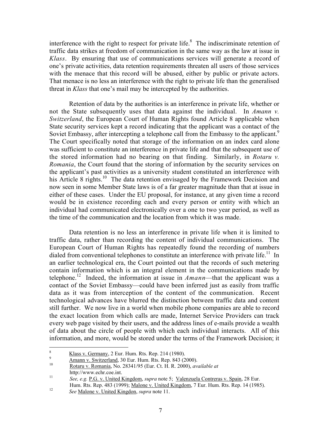interference with the right to respect for private life. ${}^{8}$  The indiscriminate retention of traffic data strikes at freedom of communication in the same way as the law at issue in *Klass*. By ensuring that use of communications services will generate a record of one's private activities, data retention requirements threaten all users of those services with the menace that this record will be abused, either by public or private actors. That menace is no less an interference with the right to private life than the generalised threat in *Klass* that one's mail may be intercepted by the authorities.

Retention of data by the authorities is an interference in private life, whether or not the State subsequently uses that data against the individual. In *Amann v. Switzerland*, the European Court of Human Rights found Article 8 applicable when State security services kept a record indicating that the applicant was a contact of the Soviet Embassy, after intercepting a telephone call from the Embassy to the applicant.<sup>9</sup> The Court specifically noted that storage of the information on an index card alone was sufficient to constitute an interference in private life and that the subsequent use of the stored information had no bearing on that finding. Similarly, in *Rotaru v. Romania*, the Court found that the storing of information by the security services on the applicant's past activities as a university student constituted an interference with his Article 8 rights.<sup>10</sup> The data retention envisaged by the Framework Decision and now seen in some Member State laws is of a far greater magnitude than that at issue in either of these cases. Under the EU proposal, for instance, at any given time a record would be in existence recording each and every person or entity with which an individual had communicated electronically over a one to two year period, as well as the time of the communication and the location from which it was made.

Data retention is no less an interference in private life when it is limited to traffic data, rather than recording the content of individual communications. The European Court of Human Rights has repeatedly found the recording of numbers dialed from conventional telephones to constitute an interference with private life.<sup>11</sup> In an earlier technological era, the Court pointed out that the records of such metering contain information which is an integral element in the communications made by telephone.<sup>12</sup> Indeed, the information at issue in  $A$ *mann*—that the applicant was a contact of the Soviet Embassy—could have been inferred just as easily from traffic data as it was from interception of the content of the communication. Recent technological advances have blurred the distinction between traffic data and content still further. We now live in a world when mobile phone companies are able to record the exact location from which calls are made, Internet Service Providers can track every web page visited by their users, and the address lines of e-mails provide a wealth of data about the circle of people with which each individual interacts. All of this information, and more, would be stored under the terms of the Framework Decision; it

<sup>&</sup>lt;sup>8</sup><br><sup>9</sup><br>Amann v. Switzerland, 30 Eur. Hum. Rts. Rep. 843 (2000).<br><u>10 Rotaru v. Romania</u>, No. 28341/95 (Eur. Ct. H. R. 2000), *available at* 

http://www.echr.coe.int. <sup>11</sup> *See, e.g.* P.G. v. United Kingdom, *supra* note 5; Valenzuela Contreras v. Spain, 28 Eur.

Hum. Rts. Rep. 483 (1999); Malone v. United Kingdom, 7 Eur. Hum. Rts. Rep. 14 (1985). <sup>12</sup> *See* Malone v. United Kingdon, *supra* note 11.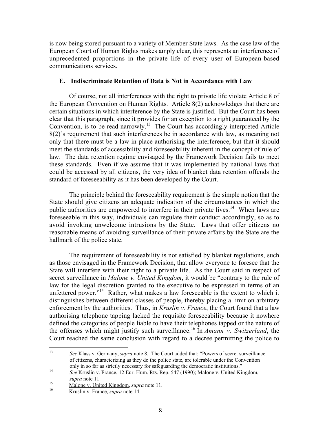is now being stored pursuant to a variety of Member State laws. As the case law of the European Court of Human Rights makes amply clear, this represents an interference of unprecedented proportions in the private life of every user of European-based communications services.

## **E. Indiscriminate Retention of Data is Not in Accordance with Law**

Of course, not all interferences with the right to private life violate Article 8 of the European Convention on Human Rights. Article 8(2) acknowledges that there are certain situations in which interference by the State is justified. But the Court has been clear that this paragraph, since it provides for an exception to a right guaranteed by the Convention, is to be read narrowly.<sup>13</sup> The Court has accordingly interpreted Article 8(2)'s requirement that such interferences be in accordance with law, as meaning not only that there must be a law in place authorising the interference, but that it should meet the standards of accessibility and foreseeability inherent in the concept of rule of law. The data retention regime envisaged by the Framework Decision fails to meet these standards. Even if we assume that it was implemented by national laws that could be accessed by all citizens, the very idea of blanket data retention offends the standard of foreseeability as it has been developed by the Court.

The principle behind the foreseeability requirement is the simple notion that the State should give citizens an adequate indication of the circumstances in which the public authorities are empowered to interfere in their private lives.<sup>14</sup> When laws are foreseeable in this way, individuals can regulate their conduct accordingly, so as to avoid invoking unwelcome intrusions by the State. Laws that offer citizens no reasonable means of avoiding surveillance of their private affairs by the State are the hallmark of the police state.

The requirement of foreseeability is not satisfied by blanket regulations, such as those envisaged in the Framework Decision, that allow everyone to foresee that the State will interfere with their right to a private life. As the Court said in respect of secret surveillance in *Malone v. United Kingdom*, it would be "contrary to the rule of law for the legal discretion granted to the executive to be expressed in terms of an unfettered power."<sup>15</sup> Rather, what makes a law foreseeable is the extent to which it distinguishes between different classes of people, thereby placing a limit on arbitrary enforcement by the authorities. Thus, in *Kruslin v. France*, the Court found that a law authorising telephone tapping lacked the requisite foreseeability because it nowhere defined the categories of people liable to have their telephones tapped or the nature of the offenses which might justify such surveillance.<sup>16</sup> In *Amann v. Switzerland*, the Court reached the same conclusion with regard to a decree permitting the police to

 <sup>13</sup> *See* Klass v. Germany, *supra* note 8. The Court added that: "Powers of secret surveillance of citizens, characterizing as they do the police state, are tolerable under the Convention only in so far as strictly necessary for safeguarding the democratic institutions." <sup>14</sup> *See* Kruslin v. France, 12 Eur. Hum. Rts. Rep. 547 (1990); Malone v. United Kingdom,

*supra* note 11. <sup>15</sup> Malone v. United Kingdom, *supra* note 11. <sup>16</sup> Kruslin v. France, *supra* note 14.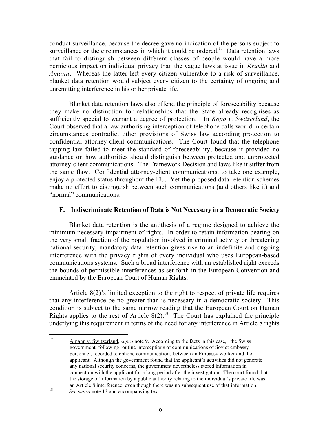conduct surveillance, because the decree gave no indication of the persons subject to surveillance or the circumstances in which it could be ordered.<sup>17</sup> Data retention laws that fail to distinguish between different classes of people would have a more pernicious impact on individual privacy than the vague laws at issue in *Kruslin* and *Amann*. Whereas the latter left every citizen vulnerable to a risk of surveillance, blanket data retention would subject every citizen to the certainty of ongoing and unremitting interference in his or her private life.

Blanket data retention laws also offend the principle of foreseeability because they make no distinction for relationships that the State already recognises as sufficiently special to warrant a degree of protection. In *Kopp v. Switzerland*, the Court observed that a law authorising interception of telephone calls would in certain circumstances contradict other provisions of Swiss law according protection to confidential attorney-client communications. The Court found that the telephone tapping law failed to meet the standard of foreseeability, because it provided no guidance on how authorities should distinguish between protected and unprotected attorney-client communications. The Framework Decision and laws like it suffer from the same flaw. Confidential attorney-client communications, to take one example, enjoy a protected status throughout the EU. Yet the proposed data retention schemes make no effort to distinguish between such communications (and others like it) and "normal" communications.

#### **F. Indiscriminate Retention of Data is Not Necessary in a Democratic Society**

Blanket data retention is the antithesis of a regime designed to achieve the minimum necessary impairment of rights. In order to retain information bearing on the very small fraction of the population involved in criminal activity or threatening national security, mandatory data retention gives rise to an indefinite and ongoing interference with the privacy rights of every individual who uses European-based communications systems. Such a broad interference with an established right exceeds the bounds of permissible interferences as set forth in the European Convention and enunciated by the European Court of Human Rights.

Article 8(2)'s limited exception to the right to respect of private life requires that any interference be no greater than is necessary in a democratic society. This condition is subject to the same narrow reading that the European Court on Human Rights applies to the rest of Article  $8(2)$ .<sup>18</sup> The Court has explained the principle underlying this requirement in terms of the need for any interference in Article 8 rights

 <sup>17</sup> Amann v. Switzerland, *supra* note 9. According to the facts in this case, the Swiss government, following routine interceptions of communications of Soviet embassy personnel, recorded telephone communications between an Embassy worker and the applicant. Although the government found that the applicant's activities did not generate any national security concerns, the government nevertheless stored information in connection with the applicant for a long period after the investigation. The court found that the storage of information by a public authority relating to the individual's private life was an Article 8 interference, even though there was no subsequent use of that information. <sup>18</sup> *See supra* note 13 and accompanying text.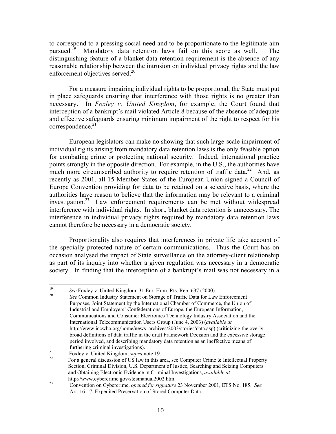to correspond to a pressing social need and to be proportionate to the legitimate aim pursued. $19$  Mandatory data retention laws fail on this score as well. The distinguishing feature of a blanket data retention requirement is the absence of any reasonable relationship between the intrusion on individual privacy rights and the law enforcement objectives served. $20$ 

For a measure impairing individual rights to be proportional, the State must put in place safeguards ensuring that interference with those rights is no greater than necessary. In *Foxley v. United Kingdom*, for example, the Court found that interception of a bankrupt's mail violated Article 8 because of the absence of adequate and effective safeguards ensuring minimum impairment of the right to respect for his  $correspondence.<sup>21</sup>$ 

European legislators can make no showing that such large-scale impairment of individual rights arising from mandatory data retention laws is the only feasible option for combating crime or protecting national security. Indeed, international practice points strongly in the opposite direction. For example, in the U.S., the authorities have much more circumscribed authority to require retention of traffic data.<sup>22</sup> And, as recently as 2001, all 15 Member States of the European Union signed a Council of Europe Convention providing for data to be retained on a selective basis, where the authorities have reason to believe that the information may be relevant to a criminal investigation.<sup>23</sup> Law enforcement requirements can be met without widespread interference with individual rights. In short, blanket data retention is unnecessary. The interference in individual privacy rights required by mandatory data retention laws cannot therefore be necessary in a democratic society.

Proportionality also requires that interferences in private life take account of the specially protected nature of certain communications. Thus the Court has on occasion analysed the impact of State surveillance on the attorney-client relationship as part of its inquiry into whether a given regulation was necessary in a democratic society. In finding that the interception of a bankrupt's mail was not necessary in a

<sup>19</sup> *See* Foxley v. United Kingdom, 31 Eur. Hum. Rts. Rep. 637 (2000). <sup>20</sup> *See* Common Industry Statement on Storage of Traffic Data for Law Enforcement

Purposes, Joint Statement by the International Chamber of Commerce, the Union of Industrial and Employers' Confederations of Europe, the European Information, Communications and Consumer Electronics Technology Industry Association and the International Telecommunication Users Group (June 4, 2003) (*available at* http://www.iccwbo.org/home/news\_archives/2003/stories/data.asp) (criticizing the overly broad definitions of data traffic in the draft Framework Decision and the excessive storage period involved, and describing mandatory data retention as an ineffective means of

furthering criminal investigations).<br><sup>21</sup> Foxley v. United Kingdom, *supra* note 19.<br><sup>22</sup> For a general discussion of US law in this area, see Computer Crime & Intellectual Property Section, Criminal Division, U.S. Department of Justice, Searching and Seizing Computers and Obtaining Electronic Evidence in Criminal Investigations, *available at*

http://www.cybercrime.gov/s&smanual2002.htm.<br><sup>23</sup> Convention on Cybercrime, *opened for signature* 23 November 2001, ETS No. 185. *See* Art. 16-17, Expedited Preservation of Stored Computer Data.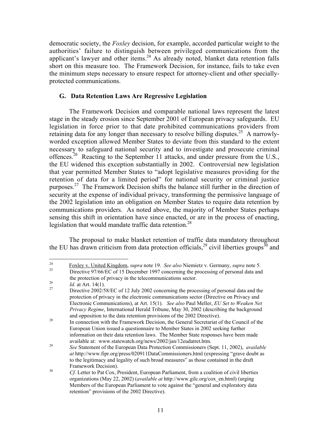democratic society, the *Foxley* decision, for example, accorded particular weight to the authorities' failure to distinguish between privileged communications from the applicant's lawyer and other items.<sup>24</sup> As already noted, blanket data retention falls short on this measure too. The Framework Decision, for instance, fails to take even the minimum steps necessary to ensure respect for attorney-client and other speciallyprotected communications.

#### **G. Data Retention Laws Are Regressive Legislation**

The Framework Decision and comparable national laws represent the latest stage in the steady erosion since September 2001 of European privacy safeguards. EU legislation in force prior to that date prohibited communications providers from retaining data for any longer than necessary to resolve billing disputes.<sup>25</sup> A narrowlyworded exception allowed Member States to deviate from this standard to the extent necessary to safeguard national security and to investigate and prosecute criminal offences.<sup>26</sup> Reacting to the September 11 attacks, and under pressure from the U.S., the EU widened this exception substantially in 2002. Controversial new legislation that year permitted Member States to "adopt legislative measures providing for the retention of data for a limited period" for national security or criminal justice purposes.<sup>27</sup> The Framework Decision shifts the balance still further in the direction of security at the expense of individual privacy, transforming the permissive language of the 2002 legislation into an obligation on Member States to require data retention by communications providers. As noted above, the majority of Member States perhaps sensing this shift in orientation have since enacted, or are in the process of enacting, legislation that would mandate traffic data retention.<sup>28</sup>

The proposal to make blanket retention of traffic data mandatory throughout the EU has drawn criticism from data protection officials,<sup>29</sup> civil liberties groups<sup>30</sup> and

<sup>24</sup> Foxley v. United Kingdom, *supra* note 19. *See also* Niemietz v. Germany, *supra* note 5. <sup>25</sup> Directive 97/66/EC of 15 December 1997 concerning the processing of personal data and

the protection of privacy in the telecommunications sector.<br> *Id.* at Art. 14(1).<br>
Directive 2002/58/EC of 12 July 2002 concerning the processing of personal data and the

protection of privacy in the electronic communications sector (Directive on Privacy and Electronic Communications), at Art. 15(1). *See also* Paul Meller, *EU Set to Weaken Net Privacy Regime*, International Herald Tribune, May 30, 2002 (describing the background

and opposition to the data retention provisions of the 2002 Directive).<br><sup>28</sup> In connection with the Framework Decision, the General Secretariat of the Council of the European Union issued a questionnaire to Member States in 2002 seeking further information on their data retention laws. The Member State responses have been made available at: www.statewatch.org/news/2002/jan/12eudatret.htm. <sup>29</sup> *See* Statement of the European Data Protection Commissioners (Sept. 11, 2002), *available*

*at* http://www.fipr.org/press/020911DataCommissioners.html (expressing "grave doubt as to the legitimacy and legality of such broad measures" as those contained in the draft Framework Decision). <sup>30</sup> *Cf.* Letter to Pat Cox, President, European Parliament, from a coalition of civil liberties

organizations (May 22, 2002) (*available at* http://www.gilc.org/cox\_en.html) (urging Members of the European Parliament to vote against the "general and exploratory data retention" provisions of the 2002 Directive).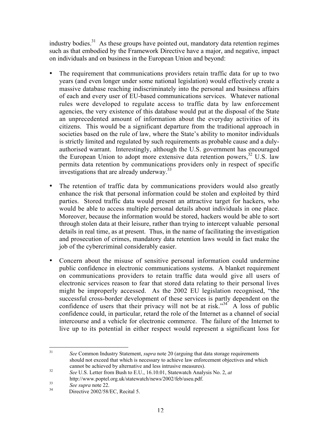industry bodies. $31$  As these groups have pointed out, mandatory data retention regimes such as that embodied by the Framework Directive have a major, and negative, impact on individuals and on business in the European Union and beyond:

The requirement that communications providers retain traffic data for up to two years (and even longer under some national legislation) would effectively create a massive database reaching indiscriminately into the personal and business affairs of each and every user of EU-based communications services. Whatever national rules were developed to regulate access to traffic data by law enforcement agencies, the very existence of this database would put at the disposal of the State an unprecedented amount of information about the everyday activities of its citizens. This would be a significant departure from the traditional approach in societies based on the rule of law, where the State's ability to monitor individuals is strictly limited and regulated by such requirements as probable cause and a dulyauthorised warrant. Interestingly, although the U.S. government has encouraged the European Union to adopt more extensive data retention powers,  $32 \text{ U.S.}$  law permits data retention by communications providers only in respect of specific investigations that are already underway.<sup>33</sup>

The retention of traffic data by communications providers would also greatly enhance the risk that personal information could be stolen and exploited by third parties. Stored traffic data would present an attractive target for hackers, who would be able to access multiple personal details about individuals in one place. Moreover, because the information would be stored, hackers would be able to sort through stolen data at their leisure, rather than trying to intercept valuable personal details in real time, as at present. Thus, in the name of facilitating the investigation and prosecution of crimes, mandatory data retention laws would in fact make the job of the cybercriminal considerably easier.

Concern about the misuse of sensitive personal information could undermine public confidence in electronic communications systems. A blanket requirement on communications providers to retain traffic data would give all users of electronic services reason to fear that stored data relating to their personal lives might be improperly accessed. As the 2002 EU legislation recognised, "the successful cross-border development of these services is partly dependent on the confidence of users that their privacy will not be at risk."<sup>34</sup> A loss of public confidence could, in particular, retard the role of the Internet as a channel of social intercourse and a vehicle for electronic commerce. The failure of the Internet to live up to its potential in either respect would represent a significant loss for

 <sup>31</sup> *See* Common Industry Statement, *supra* note 20 (arguing that data storage requirements should not exceed that which is necessary to achieve law enforcement objectives and which cannot be achieved by alternative and less intrusive measures). <sup>32</sup> *See* U.S. Letter from Bush to E.U., 16.10.01, Statewatch Analysis No. 2, *at*

http://www.poptel.org.uk/statewatch/news/2002/feb/useu.pdf.<br><sup>33</sup> *See supra* note 22.<br>Directive 2002/58/EC, Recital 5.